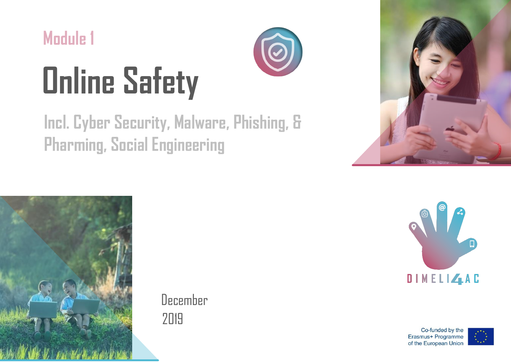

# **Online Safety**

## **Incl. Cyber Security, Malware, Phishing, & Pharming, Social Engineering**





December 2019



Co-funded by the Erasmus+ Programme of the European Union

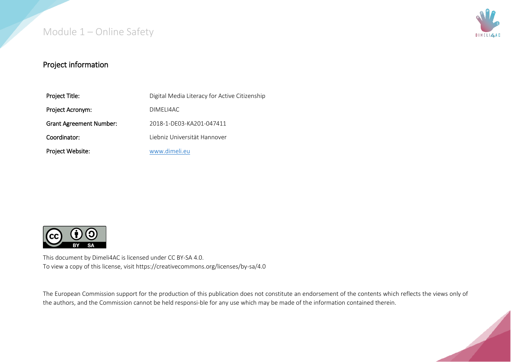

#### Project information

| Project Title:                 | Digital Media Literacy for Active Citizenship |
|--------------------------------|-----------------------------------------------|
| Project Acronym:               | DIMELI4AC                                     |
| <b>Grant Agreement Number:</b> | 2018-1-DE03-KA201-047411                      |
| Coordinator:                   | Liebniz Universität Hannover                  |
| Project Website:               | www.dimeli.eu                                 |



This document by Dimeli4AC is licensed under CC BY-SA 4.0. To view a copy of this license, visit https://creativecommons.org/licenses/by-sa/4.0

The European Commission support for the production of this publication does not constitute an endorsement of the contents which reflects the views only of the authors, and the Commission cannot be held responsi-ble for any use which may be made of the information contained therein.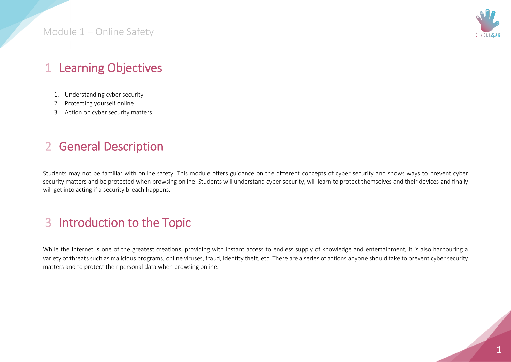

#### 1 Learning Objectives

- 1. Understanding cyber security
- 2. Protecting yourself online
- 3. Action on cyber security matters

#### 2 General Description

Students may not be familiar with online safety. This module offers guidance on the different concepts of cyber security and shows ways to prevent cyber security matters and be protected when browsing online. Students will understand cyber security, will learn to protect themselves and their devices and finally will get into acting if a security breach happens.

#### 3 Introduction to the Topic

While the Internet is one of the greatest creations, providing with instant access to endless supply of knowledge and entertainment, it is also harbouring a variety of threats such as malicious programs, online viruses, fraud, identity theft, etc. There are a series of actions anyone should take to prevent cyber security matters and to protect their personal data when browsing online.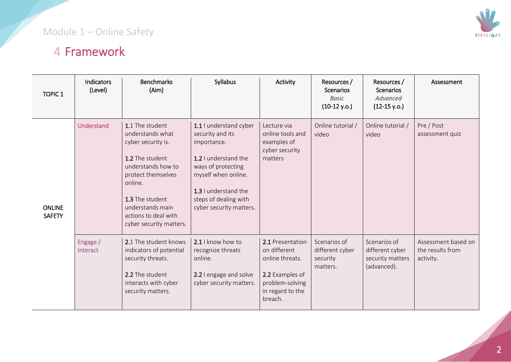#### Module 1 – Online Safety

### 4 Framework

| <b>TOPIC 1</b>                 | Indicators<br>(Level) | <b>Benchmarks</b><br>(Aim)                                                                                                                                                                                                    | Syllabus                                                                                                                                                                                                   | Activity                                                                                                                 | Resources /<br><b>Scenarios</b><br>Basic<br>$(10-12 y.o.)$ | Resources /<br><b>Scenarios</b><br>Advanced<br>$(12-15 y.o.)$      | Assessment                                           |
|--------------------------------|-----------------------|-------------------------------------------------------------------------------------------------------------------------------------------------------------------------------------------------------------------------------|------------------------------------------------------------------------------------------------------------------------------------------------------------------------------------------------------------|--------------------------------------------------------------------------------------------------------------------------|------------------------------------------------------------|--------------------------------------------------------------------|------------------------------------------------------|
| <b>ONLINE</b><br><b>SAFETY</b> | Understand            | 1.1 The student<br>understands what<br>cyber security is.<br>1.2 The student<br>understands how to<br>protect themselves<br>online.<br>1.3 The student<br>understands main<br>actions to deal with<br>cyber security matters. | 1.1 I understand cyber<br>security and its<br>importance.<br>1.2 I understand the<br>ways of protecting<br>myself when online.<br>1.3 I understand the<br>steps of dealing with<br>cyber security matters. | Lecture via<br>online tools and<br>examples of<br>cyber security<br>matters                                              | Online tutorial /<br>video                                 | Online tutorial /<br>video                                         | Pre / Post<br>assessment quiz                        |
|                                | Engage /<br>Interact  | 2.1 The student knows<br>indicators of potential<br>security threats.<br>2.2 The student<br>interacts with cyber<br>security matters.                                                                                         | 2.1 I know how to<br>recognize threats<br>online.<br>2.2 I engage and solve<br>cyber security matters.                                                                                                     | 2.1 Presentation<br>on different<br>online threats.<br>2.2 Examples of<br>problem-solving<br>in regard to the<br>breach. | Scenarios of<br>different cyber<br>security<br>matters.    | Scenarios of<br>different cyber<br>security matters<br>(advanced). | Assessment based on<br>the results from<br>activity. |